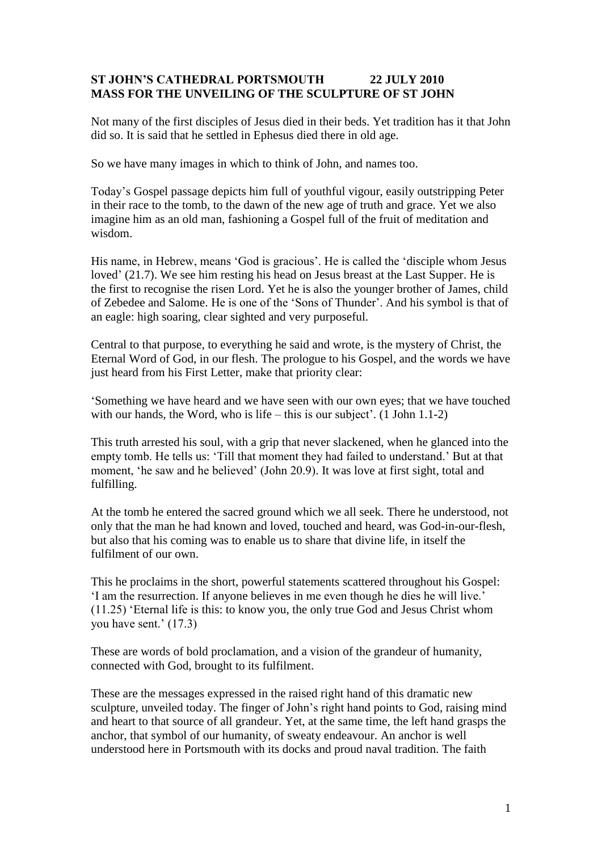## **ST JOHN'S CATHEDRAL PORTSMOUTH 22 JULY 2010 MASS FOR THE UNVEILING OF THE SCULPTURE OF ST JOHN**

Not many of the first disciples of Jesus died in their beds. Yet tradition has it that John did so. It is said that he settled in Ephesus died there in old age.

So we have many images in which to think of John, and names too.

Today's Gospel passage depicts him full of youthful vigour, easily outstripping Peter in their race to the tomb, to the dawn of the new age of truth and grace. Yet we also imagine him as an old man, fashioning a Gospel full of the fruit of meditation and wisdom.

His name, in Hebrew, means 'God is gracious'. He is called the 'disciple whom Jesus loved' (21.7). We see him resting his head on Jesus breast at the Last Supper. He is the first to recognise the risen Lord. Yet he is also the younger brother of James, child of Zebedee and Salome. He is one of the 'Sons of Thunder'. And his symbol is that of an eagle: high soaring, clear sighted and very purposeful.

Central to that purpose, to everything he said and wrote, is the mystery of Christ, the Eternal Word of God, in our flesh. The prologue to his Gospel, and the words we have just heard from his First Letter, make that priority clear:

'Something we have heard and we have seen with our own eyes; that we have touched with our hands, the Word, who is life – this is our subject'. (1 John 1.1-2)

This truth arrested his soul, with a grip that never slackened, when he glanced into the empty tomb. He tells us: 'Till that moment they had failed to understand.' But at that moment, 'he saw and he believed' (John 20.9). It was love at first sight, total and fulfilling.

At the tomb he entered the sacred ground which we all seek. There he understood, not only that the man he had known and loved, touched and heard, was God-in-our-flesh, but also that his coming was to enable us to share that divine life, in itself the fulfilment of our own.

This he proclaims in the short, powerful statements scattered throughout his Gospel: 'I am the resurrection. If anyone believes in me even though he dies he will live.' (11.25) 'Eternal life is this: to know you, the only true God and Jesus Christ whom you have sent.' (17.3)

These are words of bold proclamation, and a vision of the grandeur of humanity, connected with God, brought to its fulfilment.

These are the messages expressed in the raised right hand of this dramatic new sculpture, unveiled today. The finger of John's right hand points to God, raising mind and heart to that source of all grandeur. Yet, at the same time, the left hand grasps the anchor, that symbol of our humanity, of sweaty endeavour. An anchor is well understood here in Portsmouth with its docks and proud naval tradition. The faith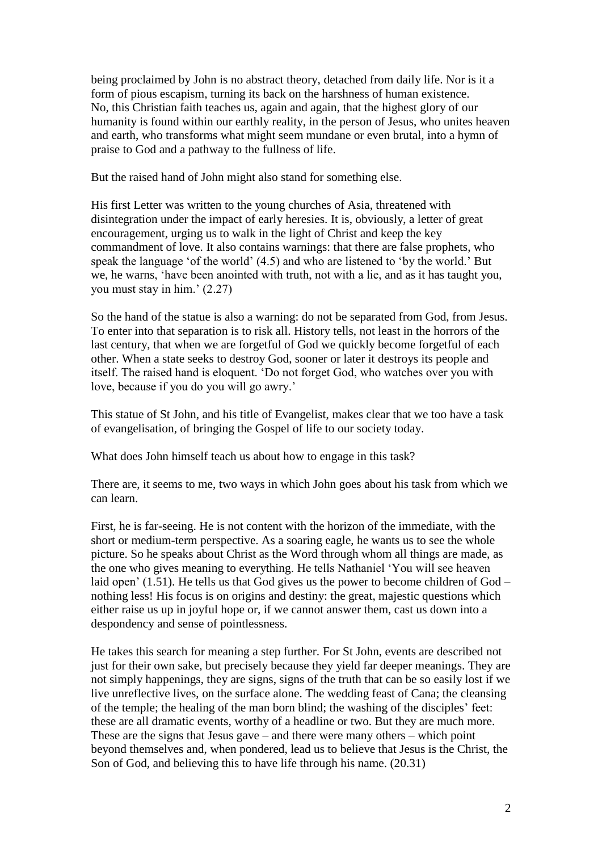being proclaimed by John is no abstract theory, detached from daily life. Nor is it a form of pious escapism, turning its back on the harshness of human existence. No, this Christian faith teaches us, again and again, that the highest glory of our humanity is found within our earthly reality, in the person of Jesus, who unites heaven and earth, who transforms what might seem mundane or even brutal, into a hymn of praise to God and a pathway to the fullness of life.

But the raised hand of John might also stand for something else.

His first Letter was written to the young churches of Asia, threatened with disintegration under the impact of early heresies. It is, obviously, a letter of great encouragement, urging us to walk in the light of Christ and keep the key commandment of love. It also contains warnings: that there are false prophets, who speak the language 'of the world' (4.5) and who are listened to 'by the world.' But we, he warns, 'have been anointed with truth, not with a lie, and as it has taught you, you must stay in him.' (2.27)

So the hand of the statue is also a warning: do not be separated from God, from Jesus. To enter into that separation is to risk all. History tells, not least in the horrors of the last century, that when we are forgetful of God we quickly become forgetful of each other. When a state seeks to destroy God, sooner or later it destroys its people and itself. The raised hand is eloquent. 'Do not forget God, who watches over you with love, because if you do you will go awry.'

This statue of St John, and his title of Evangelist, makes clear that we too have a task of evangelisation, of bringing the Gospel of life to our society today.

What does John himself teach us about how to engage in this task?

There are, it seems to me, two ways in which John goes about his task from which we can learn.

First, he is far-seeing. He is not content with the horizon of the immediate, with the short or medium-term perspective. As a soaring eagle, he wants us to see the whole picture. So he speaks about Christ as the Word through whom all things are made, as the one who gives meaning to everything. He tells Nathaniel 'You will see heaven laid open' (1.51). He tells us that God gives us the power to become children of God – nothing less! His focus is on origins and destiny: the great, majestic questions which either raise us up in joyful hope or, if we cannot answer them, cast us down into a despondency and sense of pointlessness.

He takes this search for meaning a step further. For St John, events are described not just for their own sake, but precisely because they yield far deeper meanings. They are not simply happenings, they are signs, signs of the truth that can be so easily lost if we live unreflective lives, on the surface alone. The wedding feast of Cana; the cleansing of the temple; the healing of the man born blind; the washing of the disciples' feet: these are all dramatic events, worthy of a headline or two. But they are much more. These are the signs that Jesus gave – and there were many others – which point beyond themselves and, when pondered, lead us to believe that Jesus is the Christ, the Son of God, and believing this to have life through his name. (20.31)